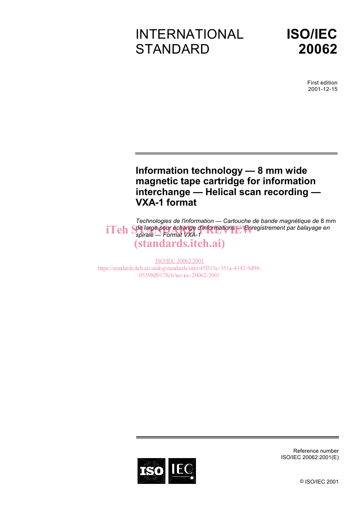# INTERNATIONAL **STANDARD**



First edition 2001-12-15

### **Information technology — 8 mm wide magnetic tape cartridge for information interchange — Helical scan recording — VXA-1 format**

*Technologies de l'information — Cartouche de bande magnétique de* 8 mm *de large pour échange d'informations — Enregistrement par balayage en*  **iTeh S<sup>de large pour échange d'informations + Enregie<br>
spirale — Format VXA-1**</sup> (standards.iteh.ai)

ISO/IEC 20062:2001 https://standards.iteh.ai/catalog/standards/sist/e45f315e-351a-4142-9d98- 05398d9178c6/iso-iec-20062-2001



Reference number ISO/IEC 20062:2001(E)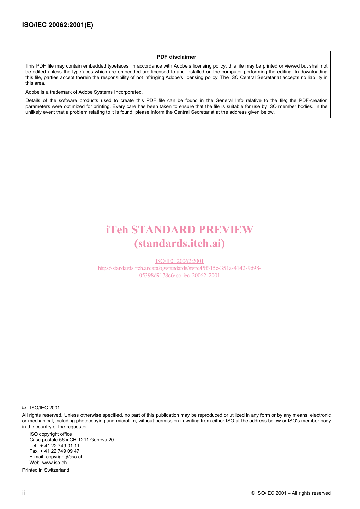#### **PDF disclaimer**

This PDF file may contain embedded typefaces. In accordance with Adobe's licensing policy, this file may be printed or viewed but shall not be edited unless the typefaces which are embedded are licensed to and installed on the computer performing the editing. In downloading this file, parties accept therein the responsibility of not infringing Adobe's licensing policy. The ISO Central Secretariat accepts no liability in this area.

Adobe is a trademark of Adobe Systems Incorporated.

Details of the software products used to create this PDF file can be found in the General Info relative to the file; the PDF-creation parameters were optimized for printing. Every care has been taken to ensure that the file is suitable for use by ISO member bodies. In the unlikely event that a problem relating to it is found, please inform the Central Secretariat at the address given below.

### iTeh STANDARD PREVIEW (standards.iteh.ai)

ISO/IEC 20062:2001 https://standards.iteh.ai/catalog/standards/sist/e45f315e-351a-4142-9d98- 05398d9178c6/iso-iec-20062-2001

© ISO/IEC 2001

All rights reserved. Unless otherwise specified, no part of this publication may be reproduced or utilized in any form or by any means, electronic or mechanical, including photocopying and microfilm, without permission in writing from either ISO at the address below or ISO's member body in the country of the requester.

ISO copyright office Case postale 56 • CH-1211 Geneva 20 Tel. + 41 22 749 01 11 Fax + 41 22 749 09 47 E-mail copyright@iso.ch Web www.iso.ch

Printed in Switzerland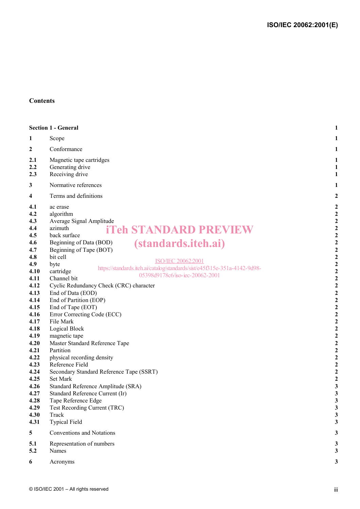#### **Contents**

|                                                                                                                                                                                                                             | <b>Section 1 - General</b>                                                                                                                                                                                                                                                                                                                                                                                                                                                                                                                                                                                                                                                                                                                                                                                                                                                         | $\mathbf{1}$                                                                                                                                                                                                                                                                                                                                                                                                                                                                             |  |
|-----------------------------------------------------------------------------------------------------------------------------------------------------------------------------------------------------------------------------|------------------------------------------------------------------------------------------------------------------------------------------------------------------------------------------------------------------------------------------------------------------------------------------------------------------------------------------------------------------------------------------------------------------------------------------------------------------------------------------------------------------------------------------------------------------------------------------------------------------------------------------------------------------------------------------------------------------------------------------------------------------------------------------------------------------------------------------------------------------------------------|------------------------------------------------------------------------------------------------------------------------------------------------------------------------------------------------------------------------------------------------------------------------------------------------------------------------------------------------------------------------------------------------------------------------------------------------------------------------------------------|--|
| 1                                                                                                                                                                                                                           | Scope                                                                                                                                                                                                                                                                                                                                                                                                                                                                                                                                                                                                                                                                                                                                                                                                                                                                              | 1                                                                                                                                                                                                                                                                                                                                                                                                                                                                                        |  |
| 2                                                                                                                                                                                                                           | Conformance<br>1                                                                                                                                                                                                                                                                                                                                                                                                                                                                                                                                                                                                                                                                                                                                                                                                                                                                   |                                                                                                                                                                                                                                                                                                                                                                                                                                                                                          |  |
| 2.1<br>2.2<br>2.3                                                                                                                                                                                                           | Magnetic tape cartridges<br>$\mathbf{1}$<br>Generating drive<br>$\mathbf{1}$<br>Receiving drive<br>$\mathbf{1}$                                                                                                                                                                                                                                                                                                                                                                                                                                                                                                                                                                                                                                                                                                                                                                    |                                                                                                                                                                                                                                                                                                                                                                                                                                                                                          |  |
| 3                                                                                                                                                                                                                           | Normative references                                                                                                                                                                                                                                                                                                                                                                                                                                                                                                                                                                                                                                                                                                                                                                                                                                                               | 1                                                                                                                                                                                                                                                                                                                                                                                                                                                                                        |  |
| 4                                                                                                                                                                                                                           | Terms and definitions                                                                                                                                                                                                                                                                                                                                                                                                                                                                                                                                                                                                                                                                                                                                                                                                                                                              | $\boldsymbol{2}$                                                                                                                                                                                                                                                                                                                                                                                                                                                                         |  |
| 4.1<br>4.2<br>4.3<br>4.4<br>4.5<br>4.6<br>4.7<br>4.8<br>4.9<br>4.10<br>4.11<br>4.12<br>4.13<br>4.14<br>4.15<br>4.16<br>4.17<br>4.18<br>4.19<br>4.20<br>4.21<br>4.22<br>4.23<br>4.24<br>4.25<br>4.26<br>4.27<br>4.28<br>4.29 | ac erase<br>algorithm<br>Average Signal Amplitude<br>azimuth<br><b>iTeh STANDARD PREVIEW</b><br>back surface<br>Beginning of Data (BOD)<br><i>(standards.iteh.ai)</i><br>Beginning of Tape (BOT)<br>bit cell<br><b>ISO/IEC 20062:2001</b><br>byte<br>https://standards.iteh.ai/catalog/standards/sist/e45f315e-351a-4142-9d98-<br>cartridge<br>05398d9178c6/iso-iec-20062-2001<br>Channel bit<br>Cyclic Redundancy Check (CRC) character<br>End of Data (EOD)<br>End of Partition (EOP)<br>End of Tape (EOT)<br>Error Correcting Code (ECC)<br>File Mark<br>Logical Block<br>magnetic tape<br>Master Standard Reference Tape<br>Partition<br>physical recording density<br>Reference Field<br>Secondary Standard Reference Tape (SSRT)<br>Set Mark<br>Standard Reference Amplitude (SRA)<br>Standard Reference Current (Ir)<br>Tape Reference Edge<br>Test Recording Current (TRC) | $\boldsymbol{2}$<br>$\mathbf 2$<br>$\mathbf 2$<br>$\mathbf 2$<br>$\boldsymbol{2}$<br>$\boldsymbol{2}$<br>$\mathbf 2$<br>$\mathbf 2$<br>$\mathbf 2$<br>$\mathbf 2$<br>$\mathbf 2$<br>$\mathbf 2$<br>$\mathbf 2$<br>$\boldsymbol{2}$<br>$\mathbf 2$<br>$\boldsymbol{2}$<br>$\boldsymbol{2}$<br>$\boldsymbol{2}$<br>$\boldsymbol{2}$<br>$\boldsymbol{2}$<br>$\boldsymbol{2}$<br>$\boldsymbol{2}$<br>$\boldsymbol{2}$<br>$\boldsymbol{2}$<br>$\boldsymbol{2}$<br>3<br>3<br>3<br>$\mathbf{3}$ |  |
| 4.30<br>4.31                                                                                                                                                                                                                | Track<br><b>Typical Field</b>                                                                                                                                                                                                                                                                                                                                                                                                                                                                                                                                                                                                                                                                                                                                                                                                                                                      | 3<br>$\mathbf{3}$                                                                                                                                                                                                                                                                                                                                                                                                                                                                        |  |
| 5                                                                                                                                                                                                                           | Conventions and Notations                                                                                                                                                                                                                                                                                                                                                                                                                                                                                                                                                                                                                                                                                                                                                                                                                                                          | 3                                                                                                                                                                                                                                                                                                                                                                                                                                                                                        |  |
| 5.1<br>5.2                                                                                                                                                                                                                  | Representation of numbers<br>Names                                                                                                                                                                                                                                                                                                                                                                                                                                                                                                                                                                                                                                                                                                                                                                                                                                                 | 3<br>3                                                                                                                                                                                                                                                                                                                                                                                                                                                                                   |  |
| 6                                                                                                                                                                                                                           | Acronyms                                                                                                                                                                                                                                                                                                                                                                                                                                                                                                                                                                                                                                                                                                                                                                                                                                                                           | 3                                                                                                                                                                                                                                                                                                                                                                                                                                                                                        |  |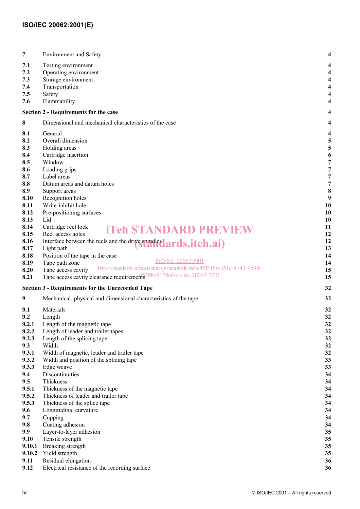| $\overline{7}$   | <b>Environment</b> and Safety                                                                            | 4                            |
|------------------|----------------------------------------------------------------------------------------------------------|------------------------------|
| 7.1              | Testing environment                                                                                      | 4                            |
| 7.2              | Operating environment                                                                                    | 4                            |
| 7.3              | Storage environment                                                                                      | 4                            |
| 7.4              | Transportation                                                                                           | 4                            |
| 7.5              | Safety                                                                                                   | 4                            |
| 7.6              | Flammability                                                                                             | 4                            |
|                  | Section 2 - Requirements for the case                                                                    | 4                            |
| 8                | Dimensional and mechanical characteristics of the case                                                   | 4                            |
| 8.1              | General                                                                                                  | $\boldsymbol{4}$             |
| 8.2              | Overall dimension                                                                                        | 5                            |
| 8.3              | Holding areas                                                                                            | 5                            |
| 8.4              | Cartridge insertion                                                                                      | 6                            |
| 8.5              | Window                                                                                                   | 7                            |
| 8.6              | Loading grips                                                                                            | 7                            |
| 8.7              | Label areas                                                                                              | 7                            |
| 8.8              | Datum areas and datum holes                                                                              | $\boldsymbol{7}$             |
| 8.9<br>8.10      | Support areas<br>Recognition holes                                                                       | $\bf{8}$<br>$\boldsymbol{9}$ |
| 8.11             | Write-inhibit hole                                                                                       | 10                           |
| 8.12             | Pre-positioning surfaces                                                                                 | 10                           |
| 8.13             | Lid                                                                                                      | 10                           |
| 8.14             | Cartridge reel lock<br><b>iTeh STANDARD PREVIEW</b>                                                      | 11                           |
| 8.15             | Reel access holes                                                                                        | 12                           |
| 8.16             | Interface between the reels and the drive spindles ards.iteh.ai)                                         | 12                           |
| 8.17             | Light path                                                                                               | 13                           |
| 8.18             | Position of the tape in the case<br>ISO/IEC 20062:2001                                                   | 14                           |
| 8.19             | Tape path zone<br>https://standards.iteh.ai/catalog/standards/sist/e45f315e-351a-4142-9d98-              | 14                           |
| 8.20             | Tape access cavity<br>Tape access cavity clearance requirements <sup>398d9178c6/iso-iec-20062-2001</sup> | 15<br>15                     |
| 8.21             |                                                                                                          |                              |
|                  | <b>Section 3 - Requirements for the Unrecorded Tape</b>                                                  | 32                           |
| $\boldsymbol{9}$ | Mechanical, physical and dimensional characteristics of the tape                                         | 32                           |
| 9.1              | Materials                                                                                                | 32                           |
| 9.2<br>9.2.1     | Length<br>Length of the magnetic tape                                                                    | 32<br>32                     |
| 9.2.2            | Length of leader and trailer tapes                                                                       | 32                           |
| 9.2.3            | Length of the splicing tape                                                                              | 32                           |
| 9.3              | Width                                                                                                    | 32                           |
| 9.3.1            | Width of magnetic, leader and trailer tape                                                               | 32                           |
| 9.3.2            | Width and position of the splicing tape                                                                  | 33                           |
| 9.3.3            | Edge weave                                                                                               | 33                           |
| 9.4              | Discontinuities                                                                                          | 34                           |
| 9.5              | Thickness                                                                                                | 34                           |
| 9.5.1            | Thickness of the magnetic tape                                                                           | 34                           |
| 9.5.2<br>9.5.3   | Thickness of leader and trailer tape<br>Thickness of the splice tape                                     | 34<br>34                     |
| 9.6              | Longitudinal curvature                                                                                   | 34                           |
| 9.7              | Cupping                                                                                                  | 34                           |
| 9.8              | Coating adhesion                                                                                         | 34                           |
| 9.9              | Layer-to-layer adhesion                                                                                  | 35                           |
| 9.10             | Tensile strength                                                                                         | 35                           |
| 9.10.1           | Breaking strength                                                                                        | 35                           |
| 9.10.2           | Yield strength                                                                                           | 35                           |
| 9.11             | Residual elongation                                                                                      | 36                           |
| 9.12             | Electrical resistance of the recording surface                                                           | 36                           |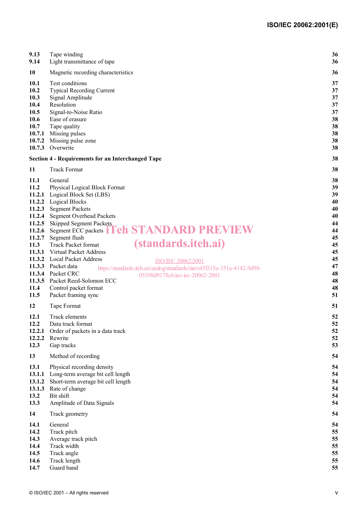| 9.13<br>9.14                                                                                     | Tape winding<br>Light transmittance of tape                                                                                                                                                                                                                                                                                                                                                                                                                                                                                                                                                                                                                             | 36<br>36                                                                                           |
|--------------------------------------------------------------------------------------------------|-------------------------------------------------------------------------------------------------------------------------------------------------------------------------------------------------------------------------------------------------------------------------------------------------------------------------------------------------------------------------------------------------------------------------------------------------------------------------------------------------------------------------------------------------------------------------------------------------------------------------------------------------------------------------|----------------------------------------------------------------------------------------------------|
| 10                                                                                               | Magnetic recording characteristics                                                                                                                                                                                                                                                                                                                                                                                                                                                                                                                                                                                                                                      | 36                                                                                                 |
| 10.1<br>10.2<br>10.3<br>10.4<br>10.5<br>10.6<br>10.7<br>10.7.1<br>10.7.2<br>10.7.3               | Test conditions<br><b>Typical Recording Current</b><br>Signal Amplitude<br>Resolution<br>Signal-to-Noise Ratio<br>Ease of erasure<br>Tape quality<br>Missing pulses<br>Missing pulse zone<br>Overwrite                                                                                                                                                                                                                                                                                                                                                                                                                                                                  | 37<br>37<br>37<br>37<br>37<br>38<br>38<br>38<br>38<br>38                                           |
|                                                                                                  | <b>Section 4 - Requirements for an Interchanged Tape</b>                                                                                                                                                                                                                                                                                                                                                                                                                                                                                                                                                                                                                | 38                                                                                                 |
| 11                                                                                               | <b>Track Format</b>                                                                                                                                                                                                                                                                                                                                                                                                                                                                                                                                                                                                                                                     | 38                                                                                                 |
| 11.1<br>11.2<br>11.2.3<br>11.2.4<br>11.2.5<br>11.2.6<br>11.2.7<br>11.3<br>11.3.4<br>11.4<br>11.5 | General<br>Physical Logical Block Format<br>11.2.1 Logical Block Set (LBS)<br>11.2.2 Logical Blocks<br><b>Segment Packets</b><br><b>Segment Overhead Packets</b><br><b>Skipped Segment Packets</b><br>Segment ECC packets <i>i</i> Tch STANDARD PREVIEW<br>Segment flush<br><i>(standards.iteh.ai)</i><br><b>Track Packet format</b><br>11.3.1 Virtual Packet Address<br>11.3.2 Local Packet Address<br><b>ISO/IEC 20062:2001</b><br>11.3.3 Packet data<br>https://standards.iteh.ai/catalog/standards/sist/e45f315e-351a-4142-9d98-<br>Packet CRC<br>05398d9178c6/iso-iec-20062-2001<br>11.3.5 Packet Reed-Solomon ECC<br>Control packet format<br>Packet framing sync | 38<br>39<br>39<br>40<br>40<br>40<br>44<br>44<br>45<br>45<br>45<br>45<br>47<br>48<br>48<br>48<br>51 |
| 12                                                                                               | Tape Format                                                                                                                                                                                                                                                                                                                                                                                                                                                                                                                                                                                                                                                             | 51                                                                                                 |
| 12.1<br>12.2<br>12.2.1<br>12.2.2<br>12.3                                                         | Track elements<br>Data track format<br>Order of packets in a data track<br>Rewrite<br>Gap tracks                                                                                                                                                                                                                                                                                                                                                                                                                                                                                                                                                                        | 52<br>52<br>52<br>52<br>53                                                                         |
| 13                                                                                               | Method of recording                                                                                                                                                                                                                                                                                                                                                                                                                                                                                                                                                                                                                                                     | 54                                                                                                 |
| 13.1<br>13.1.1<br>13.1.2<br>13.1.3<br>13.2<br>13.3                                               | Physical recording density<br>Long-term average bit cell length<br>Short-term average bit cell length<br>Rate of change<br>Bit shift<br>Amplitude of Data Signals                                                                                                                                                                                                                                                                                                                                                                                                                                                                                                       | 54<br>54<br>54<br>54<br>54<br>54                                                                   |
| 14                                                                                               | Track geometry                                                                                                                                                                                                                                                                                                                                                                                                                                                                                                                                                                                                                                                          | 54                                                                                                 |
| 14.1<br>14.2<br>14.3<br>14.4<br>14.5<br>14.6<br>14.7                                             | General<br>Track pitch<br>Average track pitch<br>Track width<br>Track angle<br>Track length<br>Guard band                                                                                                                                                                                                                                                                                                                                                                                                                                                                                                                                                               | 54<br>55<br>55<br>55<br>55<br>55<br>55                                                             |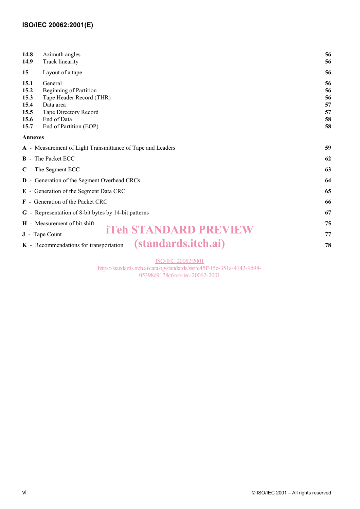| 14.8                                               | Azimuth angles                                                             | 56 |
|----------------------------------------------------|----------------------------------------------------------------------------|----|
| 14.9                                               | <b>Track linearity</b>                                                     | 56 |
| 15                                                 | Layout of a tape                                                           | 56 |
| 15.1                                               | General                                                                    | 56 |
| 15.2                                               | <b>Beginning of Partition</b>                                              | 56 |
| 15.3                                               | Tape Header Record (THR)                                                   | 56 |
| 15.4                                               | Data area                                                                  | 57 |
| 15.5                                               | Tape Directory Record                                                      | 57 |
| 15.6                                               | End of Data                                                                | 58 |
| 15.7                                               | End of Partition (EOP)                                                     | 58 |
| <b>Annexes</b>                                     |                                                                            |    |
|                                                    | A - Measurement of Light Transmittance of Tape and Leaders                 | 59 |
| <b>B</b> - The Packet ECC                          |                                                                            | 62 |
| C - The Segment ECC                                |                                                                            | 63 |
| <b>D</b> - Generation of the Segment Overhead CRCs |                                                                            | 64 |
| E - Generation of the Segment Data CRC             |                                                                            | 65 |
|                                                    | F - Generation of the Packet CRC                                           |    |
|                                                    | G - Representation of 8-bit bytes by 14-bit patterns                       | 67 |
| H - Measurement of bit shift                       |                                                                            | 75 |
|                                                    | <b>iTeh STANDARD PREVIEW</b>                                               | 77 |
| <b>J</b> - Tape Count                              |                                                                            |    |
|                                                    | <i>(standards.iteh.ai)</i><br>K - Recommendations for transportation<br>78 |    |
|                                                    |                                                                            |    |

ISO/IEC 20062:2001

https://standards.iteh.ai/catalog/standards/sist/e45f315e-351a-4142-9d98- 05398d9178c6/iso-iec-20062-2001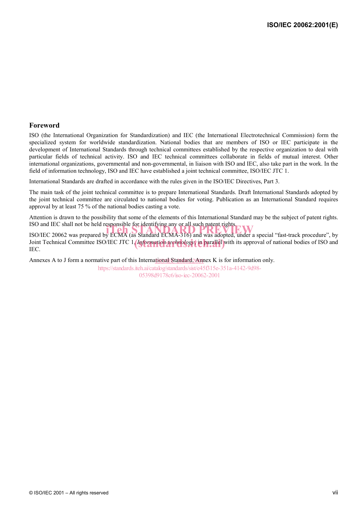#### **Foreword**

ISO (the International Organization for Standardization) and IEC (the International Electrotechnical Commission) form the specialized system for worldwide standardization. National bodies that are members of ISO or IEC participate in the development of International Standards through technical committees established by the respective organization to deal with particular fields of technical activity. ISO and IEC technical committees collaborate in fields of mutual interest. Other international organizations, governmental and non-governmental, in liaison with ISO and IEC, also take part in the work. In the field of information technology, ISO and IEC have established a joint technical committee, ISO/IEC JTC 1.

International Standards are drafted in accordance with the rules given in the ISO/IEC Directives, Part 3.

The main task of the joint technical committee is to prepare International Standards. Draft International Standards adopted by the joint technical committee are circulated to national bodies for voting. Publication as an International Standard requires approval by at least 75 % of the national bodies casting a vote.

Attention is drawn to the possibility that some of the elements of this International Standard may be the subject of patent rights. ISO and IEC shall not be held responsible for identifying any or all such patent rights.

ISO and IEC shall not be neid responsible for identifying any or all such patent rights.<br>ISO/IEC 20062 was prepared by ECMA (as Standard ECMA-316) and was adopted, under a special "fast-track procedure", by Joint Technical Committee ISO/IEC JTC 1. *Information technology*, in parallel with its approval of national bodies of ISO and IEC IEC.

Annexes A to J form a normative part of this International Standard Annex K is for information only.

https://standards.iteh.ai/catalog/standards/sist/e45f315e-351a-4142-9d98- 05398d9178c6/iso-iec-20062-2001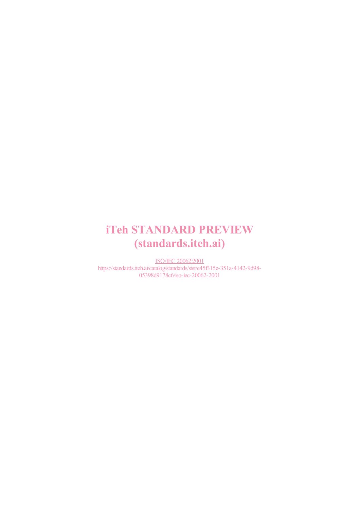## iTeh STANDARD PREVIEW (standards.iteh.ai)

ISO/IEC 20062:2001 https://standards.iteh.ai/catalog/standards/sist/e45f315e-351a-4142-9d98- 05398d9178c6/iso-iec-20062-2001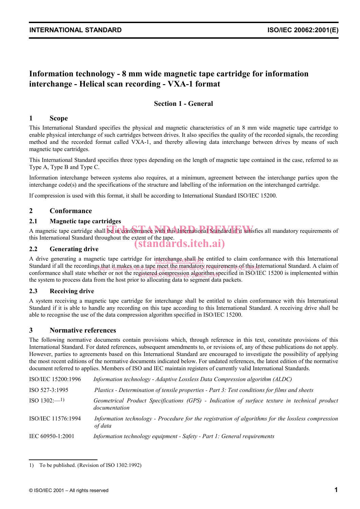### **Information technology - 8 mm wide magnetic tape cartridge for information interchange - Helical scan recording - VXA-1 format**

#### **Section 1 - General**

#### **1 Scope**

This International Standard specifies the physical and magnetic characteristics of an 8 mm wide magnetic tape cartridge to enable physical interchange of such cartridges between drives. It also specifies the quality of the recorded signals, the recording method and the recorded format called VXA-1, and thereby allowing data interchange between drives by means of such magnetic tape cartridges.

This International Standard specifies three types depending on the length of magnetic tape contained in the case, referred to as Type A, Type B and Type C.

Information interchange between systems also requires, at a minimum, agreement between the interchange parties upon the interchange code(s) and the specifications of the structure and labelling of the information on the interchanged cartridge.

If compression is used with this format, it shall be according to International Standard ISO/IEC 15200.

#### **2 Conformance**

#### **2.1 Magnetic tape cartridges**

A magnetic tape cartridge shall be in conformance with this International Standard if it satisfies all mandatory requirements of this International Standard throughout the extent of the tape. (standards.iteh.ai)

#### **2.2 Generating drive**

A drive generating a magnetic tape cartridge for interchange shall be entitled to claim conformance with this International Standard if all the recordings that it makes on a tape meet the mandatory requirements of this International Standard. A claim of conformance shall state whether or not the registered compression algorithm specified in ISO/IEC 15200 is implemented within the system to process data from the host prior to allocating data to segment data packets.

#### **2.3 Receiving drive**

A system receiving a magnetic tape cartridge for interchange shall be entitled to claim conformance with this International Standard if it is able to handle any recording on this tape according to this International Standard. A receiving drive shall be able to recognise the use of the data compression algorithm specified in ISO/IEC 15200.

#### **3 Normative references**

The following normative documents contain provisions which, through reference in this text, constitute provisions of this International Standard. For dated references, subsequent amendments to, or revisions of, any of these publications do not apply. However, parties to agreements based on this International Standard are encouraged to investigate the possibility of applying the most recent editions of the normative documents indicated below. For undated references, the latest edition of the normative document referred to applies. Members of ISO and IEC maintain registers of currently valid International Standards.

| ISO/IEC 15200:1996 | Information technology - Adaptive Lossless Data Compression algorithm (ALDC)                                   |
|--------------------|----------------------------------------------------------------------------------------------------------------|
| ISO 527-3:1995     | Plastics - Determination of tensile properties - Part 3: Test conditions for films and sheets                  |
| $ISO 1302: -1$     | Geometrical Product Specifications (GPS) - Indication of surface texture in technical product<br>documentation |
| ISO/IEC 11576:1994 | Information technology - Procedure for the registration of algorithms for the lossless compression<br>of data  |
| IEC 60950-1:2001   | Information technology equipment - Safety - Part 1: General requirements                                       |

<sup>1)</sup> To be published. (Revision of ISO 1302:1992)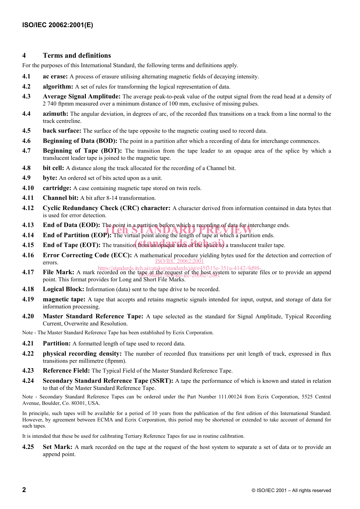#### **4 Terms and definitions**

For the purposes of this International Standard, the following terms and definitions apply.

- **4.1 ac erase:** A process of erasure utilising alternating magnetic fields of decaying intensity.
- **4.2 algorithm:** A set of rules for transforming the logical representation of data.
- **4.3 Average Signal Amplitude:** The average peak-to-peak value of the output signal from the read head at a density of 2 740 ftpmm measured over a minimum distance of 100 mm, exclusive of missing pulses.
- **4.4 azimuth:** The angular deviation, in degrees of arc, of the recorded flux transitions on a track from a line normal to the track centreline.
- **4.5 back surface:** The surface of the tape opposite to the magnetic coating used to record data.
- **4.6 Beginning of Data (BOD):** The point in a partition after which a recording of data for interchange commences.
- **4.7 Beginning of Tape (BOT):** The transition from the tape leader to an opaque area of the splice by which a translucent leader tape is joined to the magnetic tape.
- **4.8** bit cell: A distance along the track allocated for the recording of a Channel bit.
- **4.9** byte: An ordered set of bits acted upon as a unit.
- **4.10 cartridge:** A case containing magnetic tape stored on twin reels.
- **4.11 Channel bit:** A bit after 8-14 transformation.
- **4.12 Cyclic Redundancy Check (CRC) character:** A character derived from information contained in data bytes that is used for error detection.
- **4.13** End of Data (EOD): The point in a partition before which a recording of data for interchange ends.
- **4.13** End of Data (EOD): The point in a partition before which a recording of data for interchange<br>**4.14** End of Partition (EOP): The virtual point along the length of tape at which a partition ends.
- **4.15** End of Tape (EOT): The transition from an opaque area of the splice to a translucent trailer tape.
- **4.16 Error Correcting Code (ECC):** A mathematical procedure yielding bytes used for the detection and correction of errors. ISO/IEC 20062:2001
- **4.17 File Mark:** A mark recorded on the tape at the request of the host system to separate files or to provide an append **4.17 File Mark:** A mark recorded on the tape at the request of the host system to separate file point. This format provides for Long and Short File Marks. ape at the request of the host sys
- **4.18 Logical Block:** Information (data) sent to the tape drive to be recorded.
- **4.19 magnetic tape:** A tape that accepts and retains magnetic signals intended for input, output, and storage of data for information processing.
- **4.20 Master Standard Reference Tape:** A tape selected as the standard for Signal Amplitude, Typical Recording Current, Overwrite and Resolution.

Note - The Master Standard Reference Tape has been established by Ecrix Corporation.

- **4.21 Partition:** A formatted length of tape used to record data.
- **4.22 physical recording density:** The number of recorded flux transitions per unit length of track, expressed in flux transitions per millimetre (ftpmm).
- **4.23 Reference Field:** The Typical Field of the Master Standard Reference Tape.
- **4.24 Secondary Standard Reference Tape (SSRT):** A tape the performance of which is known and stated in relation to that of the Master Standard Reference Tape.

Note - Secondary Standard Reference Tapes can be ordered under the Part Number 111.00124 from Ecrix Corporation, 5525 Central Avenue, Boulder, Co. 80301, USA.

In principle, such tapes will be available for a period of 10 years from the publication of the first edition of this International Standard. However, by agreement between ECMA and Ecrix Corporation, this period may be shortened or extended to take account of demand for such tapes.

It is intended that these be used for calibrating Tertiary Reference Tapes for use in routine calibration.

**4.25 Set Mark:** A mark recorded on the tape at the request of the host system to separate a set of data or to provide an append point.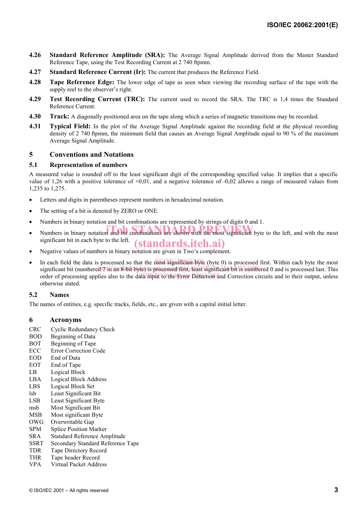- **4.26 Standard Reference Amplitude (SRA):** The Average Signal Amplitude derived from the Master Standard Reference Tape, using the Test Recording Current at 2 740 ftpmm.
- **4.27 Standard Reference Current (Ir):** The current that produces the Reference Field.
- **4.28 Tape Reference Edge:** The lower edge of tape as seen when viewing the recording surface of the tape with the supply reel to the observer's right.
- **4.29 Test Recording Current (TRC):** The current used to record the SRA. The TRC is 1,4 times the Standard Reference Current.
- **4.30 Track:** A diagonally positioned area on the tape along which a series of magnetic transitions may be recorded.
- **4.31 Typical Field:** In the plot of the Average Signal Amplitude against the recording field at the physical recording density of 2 740 ftpmm, the minimum field that causes an Average Signal Amplitude equal to 90 % of the maximum Average Signal Amplitude.

#### **5 Conventions and Notations**

#### **5.1 Representation of numbers**

A measured value is rounded off to the least significant digit of the corresponding specified value. It implies that a specific value of 1,26 with a positive tolerance of  $+0.01$ , and a negative tolerance of  $-0.02$  allows a range of measured values from 1,235 to 1,275.

- Letters and digits in parentheses represent numbers in hexadecimal notation.
- The setting of a bit is denoted by ZERO or ONE.
- Numbers in binary notation and bit combinations are represented by strings of digits 0 and 1.
- Numbers in binary notation and bit combinations are shown with the most significant byte to the left, and with the most significant bit in each byte to the left. (standards.iteh.ai)
- Negative values of numbers in binary notation are given in Two's complement.
- In each field the data is processed so that the most significant byte (byte 0) is processed first. Within each byte the most significant bit (numbered<sup>it</sup> pin an 8-bit byte) is processed first, iteast significant bit is numbered 0 and is processed last. This order of processing applies also to the data mput to the Error Detection and Correction circuits and to their output, unless otherwise stated.

#### **5.2 Names**

The names of entities, e.g. specific tracks, fields, etc., are given with a capital initial letter.

#### **6 Acronyms**

- CRC Cyclic Redundancy Check
- BOD Beginning of Data
- BOT Beginning of Tape
- ECC Error Correction Code
- EOD End of Data
- EOT End of Tape
- LB Logical Block LBA Logical Block Address
- LBS Logical Block Set
- lsb Least Significant Bit
- LSB Least Significant Byte
- msb Most Significant Bit
- MSB Most significant Byte
- OWG Overwritable Gap
- SPM Splice Position Marker
- SRA Standard Reference Amplitude
- SSRT Secondary Standard Reference Tape
- TDR Tape Directory Record
- THR Tape header Record
- VPA Virtual Packet Address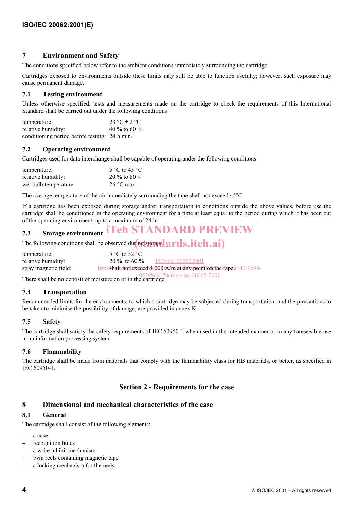#### **7 Environment and Safety**

The conditions specified below refer to the ambient conditions immediately surrounding the cartridge.

Cartridges exposed to environments outside these limits may still be able to function usefully; however, such exposure may cause permanent damage.

#### **7.1 Testing environment**

Unless otherwise specified, tests and measurements made on the cartridge to check the requirements of this International Standard shall be carried out under the following conditions

| temperature:                                  | $23 \text{ °C} \pm 2 \text{ °C}$ |
|-----------------------------------------------|----------------------------------|
| relative humidity:                            | 40 % to 60 %                     |
| conditioning period before testing: 24 h min. |                                  |

#### **7.2 Operating environment**

Cartridges used for data interchange shall be capable of operating under the following conditions

| temperature:          | 5 °C to 45 °C       |
|-----------------------|---------------------|
| relative humidity:    | 20 % to 80 %        |
| wet bulb temperature: | $26^{\circ}$ C max. |

The average temperature of the air immediately surrounding the tape shall not exceed 45°C.

If a cartridge has been exposed during storage and/or transportation to conditions outside the above values, before use the cartridge shall be conditioned in the operating environment for a time at least equal to the period during which it has been out of the operating environment, up to a maximum of 24 h.

## **7.3 Storage environment**  iTeh STANDARD PREVIEW

The following conditions shall be observed during stamped  $\bm{ards}.\bm{iteh}.\bm{ai})$ 

| temperature:          | 5 °C to 32 °C                                                               |
|-----------------------|-----------------------------------------------------------------------------|
|                       | ISO/IEC 20062:2001<br>$20\%$ to 60 %                                        |
| relative humidity:    |                                                                             |
| stray magnetic field: | https://shallidnotlexiceed/4a000_At/mcatranyipointfibin5the9falpe4142-9d98- |
|                       | $0.5208401786$ iso iso 20062 2001                                           |

There shall be no deposit of moisture on or in the cartridge. 05398d9178c6/iso-iec-20062-2001

#### **7.4 Transportation**

Recommended limits for the environments, to which a cartridge may be subjected during transportation, and the precautions to be taken to minimise the possibility of damage, are provided in annex K.

#### **7.5 Safety**

The cartridge shall satisfy the safety requirements of IEC 60950-1 when used in the intended manner or in any foreseeable use in an information processing system.

#### **7.6 Flammability**

The cartridge shall be made from materials that comply with the flammability class for HB materials, or better, as specified in IEC 60950-1.

#### **Section 2 - Requirements for the case**

#### **8 Dimensional and mechanical characteristics of the case**

#### **8.1 General**

The cartridge shall consist of the following elements:

- − a case
- − recognition holes
- a write inhibit mechanism
- twin reels containing magnetic tape
- a locking mechanism for the reels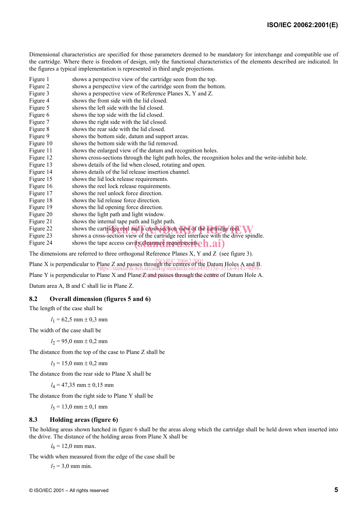Dimensional characteristics are specified for those parameters deemed to be mandatory for interchange and compatible use of the cartridge. Where there is freedom of design, only the functional characteristics of the elements described are indicated. In the figures a typical implementation is represented in third angle projections.

| Figure 1  | shows a perspective view of the cartridge seen from the top.                                         |
|-----------|------------------------------------------------------------------------------------------------------|
| Figure 2  | shows a perspective view of the cartridge seen from the bottom.                                      |
| Figure 3  | shows a perspective view of Reference Planes X, Y and Z.                                             |
| Figure 4  | shows the front side with the lid closed.                                                            |
| Figure 5  | shows the left side with the lid closed.                                                             |
| Figure 6  | shows the top side with the lid closed.                                                              |
| Figure 7  | shows the right side with the lid closed.                                                            |
| Figure 8  | shows the rear side with the lid closed.                                                             |
| Figure 9  | shows the bottom side, datum and support areas.                                                      |
| Figure 10 | shows the bottom side with the lid removed.                                                          |
| Figure 11 | shows the enlarged view of the datum and recognition holes.                                          |
| Figure 12 | shows cross-sections through the light path holes, the recognition holes and the write-inhibit hole. |
| Figure 13 | shows details of the lid when closed, rotating and open.                                             |
| Figure 14 | shows details of the lid release insertion channel.                                                  |
| Figure 15 | shows the lid lock release requirements.                                                             |
| Figure 16 | shows the reel lock release requirements.                                                            |
| Figure 17 | shows the reel unlock force direction.                                                               |
| Figure 18 | shows the lid release force direction.                                                               |
| Figure 19 | shows the lid opening force direction.                                                               |
| Figure 20 | shows the light path and light window.                                                               |
| Figure 21 | shows the internal tape path and light path.                                                         |
| Figure 22 | shows the cartridge reel and a cross-section view of the cartridge reel.                             |
| Figure 23 | shows a cross-section view of the cartridge reel interface with the drive spindle.                   |
| Figure 24 | shows the tape access cavity clearance requirements.                                                 |
|           |                                                                                                      |

The dimensions are referred to three orthogonal Reference Planes X, Y and Z (see figure 3).

Plane X is perpendicular to Plane Z and passes through the centres of the Datum Holes A and B. https://standards.iteh.ai/catalog/standards/sist/e45f315e-351a-4142-9d98-

Plane Y is perpendicular to Plane X and Plane Zand passes through the centre of Datum Hole A.

Datum area A, B and C shall lie in Plane Z.

#### **8.2 Overall dimension (figures 5 and 6)**

The length of the case shall be

 $l_1 = 62.5$  mm  $\pm 0.3$  mm

The width of the case shall be

 $l_2$  = 95,0 mm  $\pm$  0.2 mm

The distance from the top of the case to Plane Z shall be

 $l_3 = 15,0$  mm  $\pm 0,2$  mm

The distance from the rear side to Plane X shall be

 $l_4$  = 47,35 mm  $\pm$  0,15 mm

The distance from the right side to Plane Y shall be

 $l_5 = 13,0$  mm  $\pm 0,1$  mm

#### **8.3 Holding areas (figure 6)**

The holding areas shown hatched in figure 6 shall be the areas along which the cartridge shall be held down when inserted into the drive. The distance of the holding areas from Plane X shall be

 $l_6 = 12,0$  mm max.

The width when measured from the edge of the case shall be

 $l_7 = 3.0$  mm min.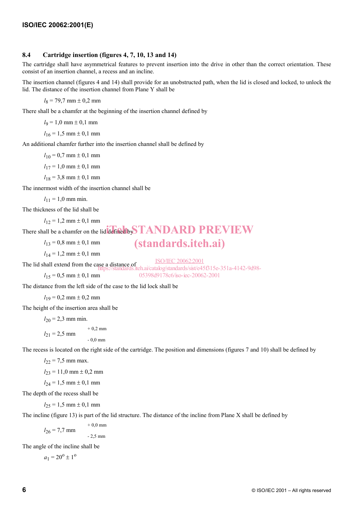#### **8.4 Cartridge insertion (figures 4, 7, 10, 13 and 14)**

The cartridge shall have asymmetrical features to prevent insertion into the drive in other than the correct orientation. These consist of an insertion channel, a recess and an incline.

The insertion channel (figures 4 and 14) shall provide for an unobstructed path, when the lid is closed and locked, to unlock the lid. The distance of the insertion channel from Plane Y shall be

 $l_8$  = 79,7 mm  $\pm$  0,2 mm

There shall be a chamfer at the beginning of the insertion channel defined by

 $l_9 = 1,0$  mm  $\pm 0,1$  mm

 $l_{16} = 1.5$  mm  $\pm 0.1$  mm

An additional chamfer further into the insertion channel shall be defined by

 $l_{10} = 0.7$  mm  $\pm 0.1$  mm

 $l_{17} = 1.0$  mm  $\pm$  0,1 mm

 $l_{18} = 3.8$  mm  $\pm 0.1$  mm

The innermost width of the insertion channel shall be

 $l_{11} = 1.0$  mm min.

The thickness of the lid shall be

 $l_{12} = 1,2$  mm  $\pm 0,1$  mm

### There shall be a chamfer on the lid defined by  $\textbf{STANDARD PREVIEW}$

 $l_{13} = 0.8$  mm  $\pm 0.1$  mm

# (standards.iteh.ai)

 $l_{14} = 1,2$  mm  $\pm 0,1$  mm

The lid shall extend from the case a distance of  $\frac{\text{ISO/IEC }20062:2001}{\text{ISO/IEC }20062:2001}$ 

 $l_{15} = 0.5$  mm  $\pm 0.1$  mm https://standards.iteh.ai/catalog/standards/sist/e45f315e-351a-4142-9d98- 05398d9178c6/iso-iec-20062-2001

The distance from the left side of the case to the lid lock shall be

 $l_{19} = 0.2$  mm  $\pm 0.2$  mm

The height of the insertion area shall be

 $l_{20} = 2.3$  mm min.

$$
l_{21} = 2.5 \text{ mm} + 0.2 \text{ mm}
$$
  
- 0.0 mm

The recess is located on the right side of the cartridge. The position and dimensions (figures 7 and 10) shall be defined by

 $l_{22} = 7.5$  mm max.

 $l_{23} = 11,0 \text{ mm} \pm 0,2 \text{ mm}$ 

$$
l_{24} = 1.5
$$
 mm  $\pm$  0.1 mm

The depth of the recess shall be

 $l_{25} = 1.5$  mm  $\pm 0.1$  mm

The incline (figure 13) is part of the lid structure. The distance of the incline from Plane X shall be defined by

$$
l_{26} = 7.7
$$
 mm  $+$  0.0 mm  
- 2.5 mm

The angle of the incline shall be

 $a_1 = 20^{\circ} \pm 1^{\circ}$